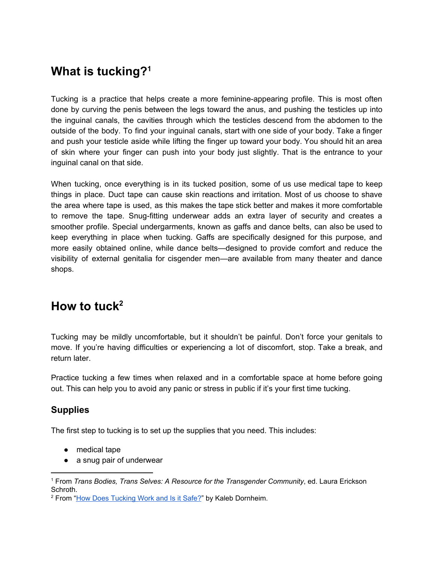# **What is tucking? 1**

Tucking is a practice that helps create a more feminine-appearing profile. This is most often done by curving the penis between the legs toward the anus, and pushing the testicles up into the inguinal canals, the cavities through which the testicles descend from the abdomen to the outside of the body. To find your inguinal canals, start with one side of your body. Take a finger and push your testicle aside while lifting the finger up toward your body. You should hit an area of skin where your finger can push into your body just slightly. That is the entrance to your inguinal canal on that side.

When tucking, once everything is in its tucked position, some of us use medical tape to keep things in place. Duct tape can cause skin reactions and irritation. Most of us choose to shave the area where tape is used, as this makes the tape stick better and makes it more comfortable to remove the tape. Snug-fitting underwear adds an extra layer of security and creates a smoother profile. Special undergarments, known as gaffs and dance belts, can also be used to keep everything in place when tucking. Gaffs are specifically designed for this purpose, and more easily obtained online, while dance belts—designed to provide comfort and reduce the visibility of external genitalia for cisgender men—are available from many theater and dance shops.

# **How to tuck 2**

Tucking may be mildly uncomfortable, but it shouldn't be painful. Don't force your genitals to move. If you're having difficulties or experiencing a lot of discomfort, stop. Take a break, and return later.

Practice tucking a few times when relaxed and in a comfortable space at home before going out. This can help you to avoid any panic or stress in public if it's your first time tucking.

### **Supplies**

The first step to tucking is to set up the supplies that you need. This includes:

- medical tape
- a snug pair of underwear

<sup>1</sup> From *Trans Bodies, Trans Selves: A Resource for the Transgender Community*, ed. Laura Erickson Schroth.

<sup>2</sup> From "How Does [Tucking](https://www.healthline.com/health/transgender/tucking#takeaway) Work and Is it Safe?" by Kaleb Dornheim.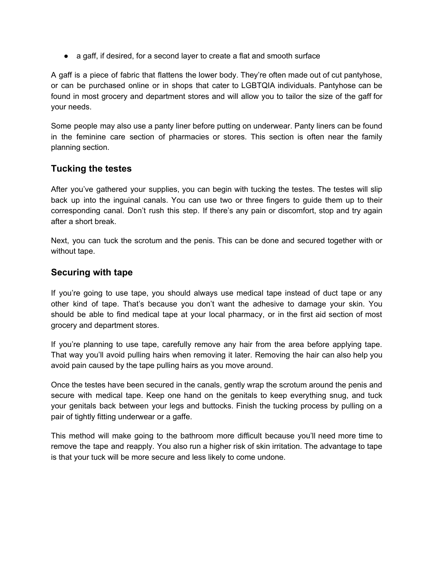● a gaff, if desired, for a second layer to create a flat and smooth surface

A gaff is a piece of fabric that flattens the lower body. They're often made out of cut pantyhose, or can be purchased online or in shops that cater to LGBTQIA individuals. Pantyhose can be found in most grocery and department stores and will allow you to tailor the size of the gaff for your needs.

Some people may also use a panty liner before putting on underwear. Panty liners can be found in the feminine care section of pharmacies or stores. This section is often near the family planning section.

#### **Tucking the testes**

After you've gathered your supplies, you can begin with tucking the testes. The testes will slip back up into the inguinal canals. You can use two or three fingers to guide them up to their corresponding canal. Don't rush this step. If there's any pain or discomfort, stop and try again after a short break.

Next, you can tuck the scrotum and the penis. This can be done and secured together with or without tape.

#### **Securing with tape**

If you're going to use tape, you should always use medical tape instead of duct tape or any other kind of tape. That's because you don't want the adhesive to damage your skin. You should be able to find medical tape at your local pharmacy, or in the first aid section of most grocery and department stores.

If you're planning to use tape, carefully remove any hair from the area before applying tape. That way you'll avoid pulling hairs when removing it later. Removing the hair can also help you avoid pain caused by the tape pulling hairs as you move around.

Once the testes have been secured in the canals, gently wrap the scrotum around the penis and secure with medical tape. Keep one hand on the genitals to keep everything snug, and tuck your genitals back between your legs and buttocks. Finish the tucking process by pulling on a pair of tightly fitting underwear or a gaffe.

This method will make going to the bathroom more difficult because you'll need more time to remove the tape and reapply. You also run a higher risk of skin irritation. The advantage to tape is that your tuck will be more secure and less likely to come undone.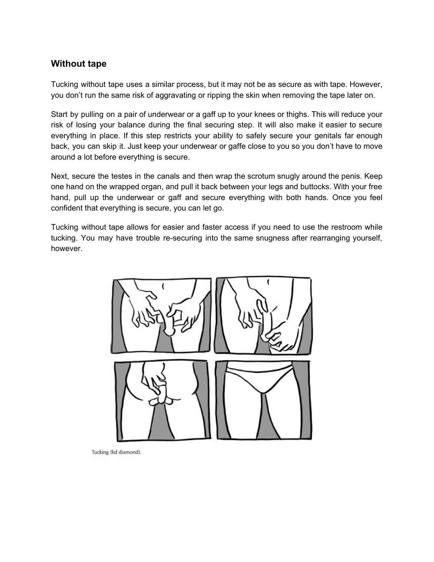#### **Without tape**

Tucking without tape uses a similar process, but it may not be as secure as with tape. However, you don't run the same risk of aggravating or ripping the skin when removing the tape later on.

Start by pulling on a pair of underwear or a gaff up to your knees or thighs. This will reduce your risk of losing your balance during the final securing step. It will also make it easier to secure everything in place. If this step restricts your ability to safely secure your genitals far enough back, you can skip it. Just keep your underwear or gaffe close to you so you don't have to move around a lot before everything is secure.

Next, secure the testes in the canals and then wrap the scrotum snugly around the penis. Keep one hand on the wrapped organ, and pull it back between your legs and buttocks. With your free hand, pull up the underwear or gaff and secure everything with both hands. Once you feel confident that everything is secure, you can let go.

Tucking without tape allows for easier and faster access if you need to use the restroom while tucking. You may have trouble re-securing into the same snugness after rearranging yourself, however.



Tucking (kd diamond).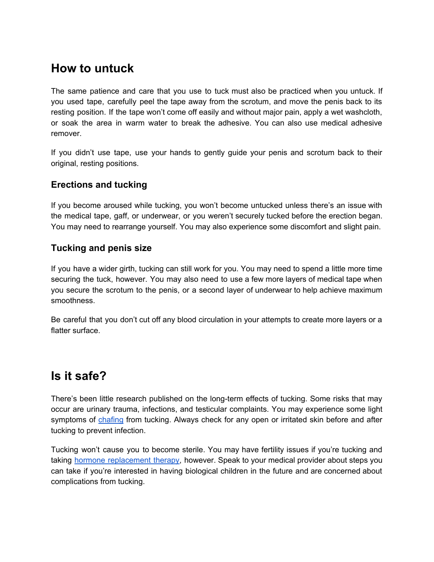# **How to untuck**

The same patience and care that you use to tuck must also be practiced when you untuck. If you used tape, carefully peel the tape away from the scrotum, and move the penis back to its resting position. If the tape won't come off easily and without major pain, apply a wet washcloth, or soak the area in warm water to break the adhesive. You can also use medical adhesive remover.

If you didn't use tape, use your hands to gently guide your penis and scrotum back to their original, resting positions.

#### **Erections and tucking**

If you become aroused while tucking, you won't become untucked unless there's an issue with the medical tape, gaff, or underwear, or you weren't securely tucked before the erection began. You may need to rearrange yourself. You may also experience some discomfort and slight pain.

#### **Tucking and penis size**

If you have a wider girth, tucking can still work for you. You may need to spend a little more time securing the tuck, however. You may also need to use a few more layers of medical tape when you secure the scrotum to the penis, or a second layer of underwear to help achieve maximum smoothness.

Be careful that you don't cut off any blood circulation in your attempts to create more layers or a flatter surface.

# **Is it safe?**

There's been little research published on the long-term effects of tucking. Some risks that may occur are urinary trauma, infections, and testicular complaints. You may experience some light symptoms of [chafing](https://www.healthline.com/health/chafing) from tucking. Always check for any open or irritated skin before and after tucking to prevent infection.

Tucking won't cause you to become sterile. You may have fertility issues if you're tucking and takin[g](https://www.healthline.com/health/menopause/hrt-effects-on-body) **hormone [replacement](https://www.healthline.com/health/menopause/hrt-effects-on-body) therapy**, however. Speak to your medical provider about steps you can take if you're interested in having biological children in the future and are concerned about complications from tucking.